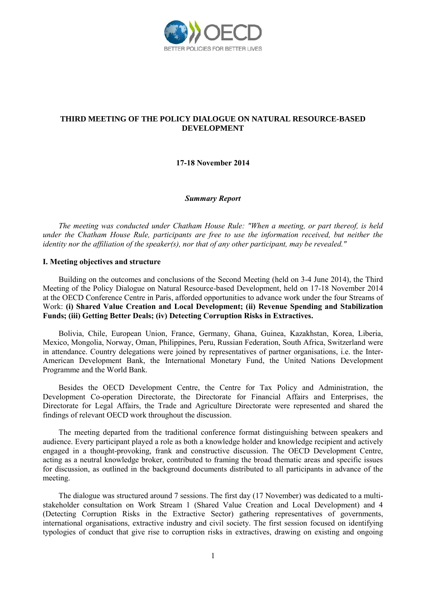

# **THIRD MEETING OF THE POLICY DIALOGUE ON NATURAL RESOURCE-BASED DEVELOPMENT**

**17-18 November 2014**

#### *Summary Report*

*The meeting was conducted under Chatham House Rule: "When a meeting, or part thereof, is held under the Chatham House Rule, participants are free to use the information received, but neither the identity nor the affiliation of the speaker(s), nor that of any other participant, may be revealed."* 

#### **I. Meeting objectives and structure**

Building on the outcomes and conclusions of the Second Meeting (held on 3-4 June 2014), the Third Meeting of the Policy Dialogue on Natural Resource-based Development, held on 17-18 November 2014 at the OECD Conference Centre in Paris, afforded opportunities to advance work under the four Streams of Work: **(i) Shared Value Creation and Local Development; (ii) Revenue Spending and Stabilization Funds; (iii) Getting Better Deals; (iv) Detecting Corruption Risks in Extractives.** 

Bolivia, Chile, European Union, France, Germany, Ghana, Guinea, Kazakhstan, Korea, Liberia, Mexico, Mongolia, Norway, Oman, Philippines, Peru, Russian Federation, South Africa, Switzerland were in attendance. Country delegations were joined by representatives of partner organisations, i.e. the Inter-American Development Bank, the International Monetary Fund, the United Nations Development Programme and the World Bank.

Besides the OECD Development Centre, the Centre for Tax Policy and Administration, the Development Co-operation Directorate, the Directorate for Financial Affairs and Enterprises, the Directorate for Legal Affairs, the Trade and Agriculture Directorate were represented and shared the findings of relevant OECD work throughout the discussion.

The meeting departed from the traditional conference format distinguishing between speakers and audience. Every participant played a role as both a knowledge holder and knowledge recipient and actively engaged in a thought-provoking, frank and constructive discussion. The OECD Development Centre, acting as a neutral knowledge broker, contributed to framing the broad thematic areas and specific issues for discussion, as outlined in the background documents distributed to all participants in advance of the meeting.

The dialogue was structured around 7 sessions. The first day (17 November) was dedicated to a multistakeholder consultation on Work Stream 1 (Shared Value Creation and Local Development) and 4 (Detecting Corruption Risks in the Extractive Sector) gathering representatives of governments, international organisations, extractive industry and civil society. The first session focused on identifying typologies of conduct that give rise to corruption risks in extractives, drawing on existing and ongoing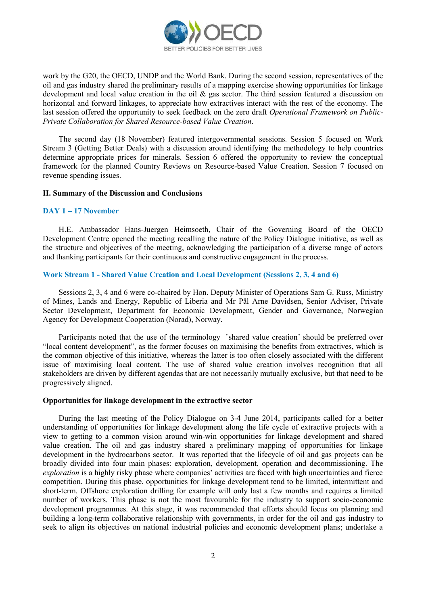

work by the G20, the OECD, UNDP and the World Bank. During the second session, representatives of the oil and gas industry shared the preliminary results of a mapping exercise showing opportunities for linkage development and local value creation in the oil  $\&$  gas sector. The third session featured a discussion on horizontal and forward linkages, to appreciate how extractives interact with the rest of the economy. The last session offered the opportunity to seek feedback on the zero draft *Operational Framework on Public-Private Collaboration for Shared Resource-based Value Creation*.

The second day (18 November) featured intergovernmental sessions. Session 5 focused on Work Stream 3 (Getting Better Deals) with a discussion around identifying the methodology to help countries determine appropriate prices for minerals. Session 6 offered the opportunity to review the conceptual framework for the planned Country Reviews on Resource-based Value Creation. Session 7 focused on revenue spending issues.

#### **II. Summary of the Discussion and Conclusions**

#### **DAY 1 – 17 November**

H.E. Ambassador Hans-Juergen Heimsoeth, Chair of the Governing Board of the OECD Development Centre opened the meeting recalling the nature of the Policy Dialogue initiative, as well as the structure and objectives of the meeting, acknowledging the participation of a diverse range of actors and thanking participants for their continuous and constructive engagement in the process.

### **Work Stream 1 - Shared Value Creation and Local Development (Sessions 2, 3, 4 and 6)**

Sessions 2, 3, 4 and 6 were co-chaired by Hon. Deputy Minister of Operations Sam G. Russ, Ministry of Mines, Lands and Energy, Republic of Liberia and Mr Pål Arne Davidsen, Senior Adviser, Private Sector Development, Department for Economic Development, Gender and Governance, Norwegian Agency for Development Cooperation (Norad), Norway.

Participants noted that the use of the terminology ¨shared value creation¨ should be preferred over "local content development", as the former focuses on maximising the benefits from extractives, which is the common objective of this initiative, whereas the latter is too often closely associated with the different issue of maximising local content. The use of shared value creation involves recognition that all stakeholders are driven by different agendas that are not necessarily mutually exclusive, but that need to be progressively aligned.

### **Opportunities for linkage development in the extractive sector**

During the last meeting of the Policy Dialogue on 3-4 June 2014, participants called for a better understanding of opportunities for linkage development along the life cycle of extractive projects with a view to getting to a common vision around win-win opportunities for linkage development and shared value creation. The oil and gas industry shared a preliminary mapping of opportunities for linkage development in the hydrocarbons sector. It was reported that the lifecycle of oil and gas projects can be broadly divided into four main phases: exploration, development, operation and decommissioning. The *exploration* is a highly risky phase where companies' activities are faced with high uncertainties and fierce competition. During this phase, opportunities for linkage development tend to be limited, intermittent and short-term. Offshore exploration drilling for example will only last a few months and requires a limited number of workers. This phase is not the most favourable for the industry to support socio-economic development programmes. At this stage, it was recommended that efforts should focus on planning and building a long-term collaborative relationship with governments, in order for the oil and gas industry to seek to align its objectives on national industrial policies and economic development plans; undertake a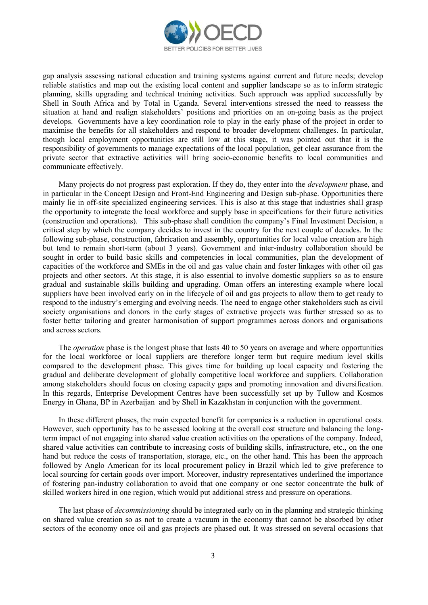

gap analysis assessing national education and training systems against current and future needs; develop reliable statistics and map out the existing local content and supplier landscape so as to inform strategic planning, skills upgrading and technical training activities. Such approach was applied successfully by Shell in South Africa and by Total in Uganda. Several interventions stressed the need to reassess the situation at hand and realign stakeholders' positions and priorities on an on-going basis as the project develops. Governments have a key coordination role to play in the early phase of the project in order to maximise the benefits for all stakeholders and respond to broader development challenges. In particular, though local employment opportunities are still low at this stage, it was pointed out that it is the responsibility of governments to manage expectations of the local population, get clear assurance from the private sector that extractive activities will bring socio-economic benefits to local communities and communicate effectively.

Many projects do not progress past exploration. If they do, they enter into the *development* phase, and in particular in the Concept Design and Front-End Engineering and Design sub-phase. Opportunities there mainly lie in off-site specialized engineering services. This is also at this stage that industries shall grasp the opportunity to integrate the local workforce and supply base in specifications for their future activities (construction and operations). This sub-phase shall condition the company's Final Investment Decision, a critical step by which the company decides to invest in the country for the next couple of decades. In the following sub-phase, construction, fabrication and assembly, opportunities for local value creation are high but tend to remain short-term (about 3 years). Government and inter-industry collaboration should be sought in order to build basic skills and competencies in local communities, plan the development of capacities of the workforce and SMEs in the oil and gas value chain and foster linkages with other oil gas projects and other sectors. At this stage, it is also essential to involve domestic suppliers so as to ensure gradual and sustainable skills building and upgrading. Oman offers an interesting example where local suppliers have been involved early on in the lifecycle of oil and gas projects to allow them to get ready to respond to the industry's emerging and evolving needs. The need to engage other stakeholders such as civil society organisations and donors in the early stages of extractive projects was further stressed so as to foster better tailoring and greater harmonisation of support programmes across donors and organisations and across sectors.

The *operation* phase is the longest phase that lasts 40 to 50 years on average and where opportunities for the local workforce or local suppliers are therefore longer term but require medium level skills compared to the development phase. This gives time for building up local capacity and fostering the gradual and deliberate development of globally competitive local workforce and suppliers. Collaboration among stakeholders should focus on closing capacity gaps and promoting innovation and diversification. In this regards, Enterprise Development Centres have been successfully set up by Tullow and Kosmos Energy in Ghana, BP in Azerbaijan and by Shell in Kazakhstan in conjunction with the government.

In these different phases, the main expected benefit for companies is a reduction in operational costs. However, such opportunity has to be assessed looking at the overall cost structure and balancing the longterm impact of not engaging into shared value creation activities on the operations of the company. Indeed, shared value activities can contribute to increasing costs of building skills, infrastructure, etc., on the one hand but reduce the costs of transportation, storage, etc., on the other hand. This has been the approach followed by Anglo American for its local procurement policy in Brazil which led to give preference to local sourcing for certain goods over import. Moreover, industry representatives underlined the importance of fostering pan-industry collaboration to avoid that one company or one sector concentrate the bulk of skilled workers hired in one region, which would put additional stress and pressure on operations.

The last phase of *decommissioning* should be integrated early on in the planning and strategic thinking on shared value creation so as not to create a vacuum in the economy that cannot be absorbed by other sectors of the economy once oil and gas projects are phased out. It was stressed on several occasions that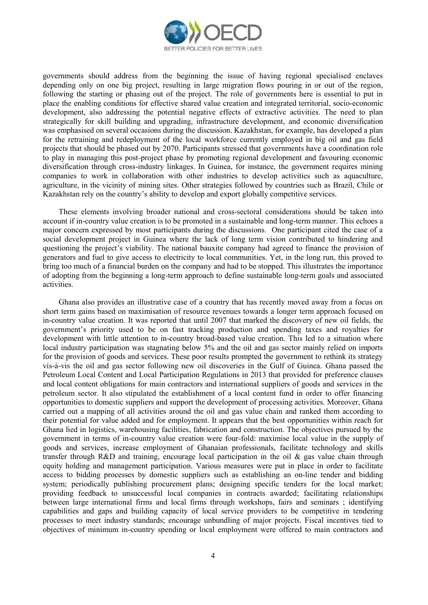

governments should address from the beginning the issue of having regional specialised enclaves depending only on one big project, resulting in large migration flows pouring in or out of the region, following the starting or phasing out of the project. The role of governments here is essential to put in place the enabling conditions for effective shared value creation and integrated territorial, socio-economic development, also addressing the potential negative effects of extractive activities. The need to plan strategically for skill building and upgrading, infrastructure development, and economic diversification was emphasised on several occasions during the discussion. Kazakhstan, for example, has developed a plan for the retraining and redeployment of the local workforce currently employed in big oil and gas field projects that should be phased out by 2070. Participants stressed that governments have a coordination role to play in managing this post-project phase by promoting regional development and favouring economic diversification through cross-industry linkages. In Guinea, for instance, the government requires mining companies to work in collaboration with other industries to develop activities such as aquaculture, agriculture, in the vicinity of mining sites. Other strategies followed by countries such as Brazil, Chile or Kazakhstan rely on the country's ability to develop and export globally competitive services.

These elements involving broader national and cross-sectoral considerations should be taken into account if in-country value creation is to be promoted in a sustainable and long-term manner. This echoes a major concern expressed by most participants during the discussions. One participant cited the case of a social development project in Guinea where the lack of long term vision contributed to hindering and questioning the project's viability. The national bauxite company had agreed to finance the provision of generators and fuel to give access to electricity to local communities. Yet, in the long run, this proved to bring too much of a financial burden on the company and had to be stopped. This illustrates the importance of adopting from the beginning a long-term approach to define sustainable long-term goals and associated activities.

Ghana also provides an illustrative case of a country that has recently moved away from a focus on short term gains based on maximisation of resource revenues towards a longer term approach focused on in-country value creation. It was reported that until 2007 that marked the discovery of new oil fields, the government's priority used to be on fast tracking production and spending taxes and royalties for development with little attention to in-country broad-based value creation. This led to a situation where local industry participation was stagnating below 5% and the oil and gas sector mainly relied on imports for the provision of goods and services. These poor results prompted the government to rethink its strategy vis-à-vis the oil and gas sector following new oil discoveries in the Gulf of Guinea. Ghana passed the Petroleum Local Content and Local Participation Regulations in 2013 that provided for preference clauses and local content obligations for main contractors and international suppliers of goods and services in the petroleum sector. It also stipulated the establishment of a local content fund in order to offer financing opportunities to domestic suppliers and support the development of processing activities. Moreover, Ghana carried out a mapping of all activities around the oil and gas value chain and ranked them according to their potential for value added and for employment. It appears that the best opportunities within reach for Ghana lied in logistics, warehousing facilities, fabrication and construction. The objectives pursued by the government in terms of in-country value creation were four-fold: maximise local value in the supply of goods and services, increase employment of Ghanaian professionals, facilitate technology and skills transfer through R&D and training, encourage local participation in the oil & gas value chain through equity holding and management participation. Various measures were put in place in order to facilitate access to bidding processes by domestic suppliers such as establishing an on-line tender and bidding system; periodically publishing procurement plans; designing specific tenders for the local market; providing feedback to unsuccessful local companies in contracts awarded; facilitating relationships between large international firms and local firms through workshops, fairs and seminars ; identifying capabilities and gaps and building capacity of local service providers to be competitive in tendering processes to meet industry standards; encourage unbundling of major projects. Fiscal incentives tied to objectives of minimum in-country spending or local employment were offered to main contractors and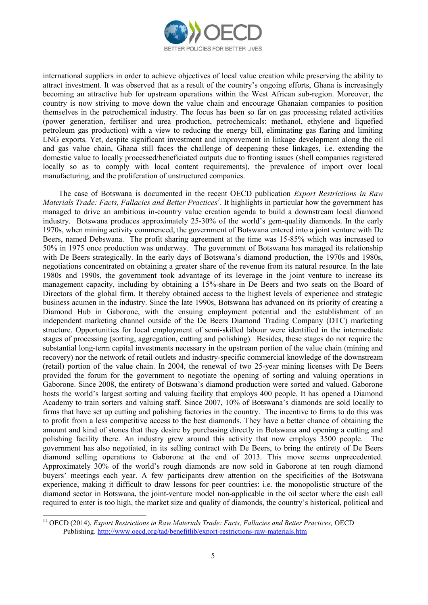

international suppliers in order to achieve objectives of local value creation while preserving the ability to attract investment. It was observed that as a result of the country's ongoing efforts, Ghana is increasingly becoming an attractive hub for upstream operations within the West African sub-region. Moreover, the country is now striving to move down the value chain and encourage Ghanaian companies to position themselves in the petrochemical industry. The focus has been so far on gas processing related activities (power generation, fertiliser and urea production, petrochemicals: methanol, ethylene and liquefied petroleum gas production) with a view to reducing the energy bill, eliminating gas flaring and limiting LNG exports. Yet, despite significant investment and improvement in linkage development along the oil and gas value chain, Ghana still faces the challenge of deepening these linkages, i.e. extending the domestic value to locally processed/beneficiated outputs due to fronting issues (shell companies registered locally so as to comply with local content requirements), the prevalence of import over local manufacturing, and the proliferation of unstructured companies.

The case of Botswana is documented in the recent OECD publication *Export Restrictions in Raw Materials Trade: Facts, Fallacies and Better Practices<sup>1</sup> .* It highlights in particular how the government has managed to drive an ambitious in-country value creation agenda to build a downstream local diamond industry. Botswana produces approximately 25-30% of the world's gem-quality diamonds. In the early 1970s, when mining activity commenced, the government of Botswana entered into a joint venture with De Beers, named Debswana. The profit sharing agreement at the time was 15-85% which was increased to 50% in 1975 once production was underway. The government of Botswana has managed its relationship with De Beers strategically. In the early days of Botswana's diamond production, the 1970s and 1980s, negotiations concentrated on obtaining a greater share of the revenue from its natural resource. In the late 1980s and 1990s, the government took advantage of its leverage in the joint venture to increase its management capacity, including by obtaining a 15%-share in De Beers and two seats on the Board of Directors of the global firm. It thereby obtained access to the highest levels of experience and strategic business acumen in the industry. Since the late 1990s, Botswana has advanced on its priority of creating a Diamond Hub in Gaborone, with the ensuing employment potential and the establishment of an independent marketing channel outside of the De Beers Diamond Trading Company (DTC) marketing structure. Opportunities for local employment of semi-skilled labour were identified in the intermediate stages of processing (sorting, aggregation, cutting and polishing). Besides, these stages do not require the substantial long-term capital investments necessary in the upstream portion of the value chain (mining and recovery) nor the network of retail outlets and industry-specific commercial knowledge of the downstream (retail) portion of the value chain. In 2004, the renewal of two 25-year mining licenses with De Beers provided the forum for the government to negotiate the opening of sorting and valuing operations in Gaborone. Since 2008, the entirety of Botswana's diamond production were sorted and valued. Gaborone hosts the world's largest sorting and valuing facility that employs 400 people. It has opened a Diamond Academy to train sorters and valuing staff. Since 2007, 10% of Botswana's diamonds are sold locally to firms that have set up cutting and polishing factories in the country. The incentive to firms to do this was to profit from a less competitive access to the best diamonds. They have a better chance of obtaining the amount and kind of stones that they desire by purchasing directly in Botswana and opening a cutting and polishing facility there. An industry grew around this activity that now employs 3500 people. The government has also negotiated, in its selling contract with De Beers, to bring the entirety of De Beers diamond selling operations to Gaborone at the end of 2013. This move seems unprecedented. Approximately 30% of the world's rough diamonds are now sold in Gaborone at ten rough diamond buyers' meetings each year. A few participants drew attention on the specificities of the Botswana experience, making it difficult to draw lessons for peer countries: i.e. the monopolistic structure of the diamond sector in Botswana, the joint-venture model non-applicable in the oil sector where the cash call required to enter is too high, the market size and quality of diamonds, the country's historical, political and

<sup>&</sup>lt;sup>11</sup> OECD (2014), *Export Restrictions in Raw Materials Trade: Facts, Fallacies and Better Practices, OECD* Publishing*.* <http://www.oecd.org/tad/benefitlib/export-restrictions-raw-materials.htm>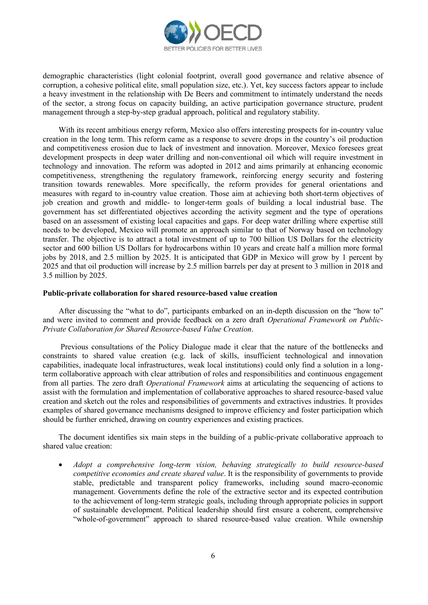

demographic characteristics (light colonial footprint, overall good governance and relative absence of corruption, a cohesive political elite, small population size, etc.). Yet, key success factors appear to include a heavy investment in the relationship with De Beers and commitment to intimately understand the needs of the sector, a strong focus on capacity building, an active participation governance structure, prudent management through a step-by-step gradual approach, political and regulatory stability.

With its recent ambitious energy reform, Mexico also offers interesting prospects for in-country value creation in the long term. This reform came as a response to severe drops in the country's oil production and competitiveness erosion due to lack of investment and innovation. Moreover, Mexico foresees great development prospects in deep water drilling and non-conventional oil which will require investment in technology and innovation. The reform was adopted in 2012 and aims primarily at enhancing economic competitiveness, strengthening the regulatory framework, reinforcing energy security and fostering transition towards renewables. More specifically, the reform provides for general orientations and measures with regard to in-country value creation. Those aim at achieving both short-term objectives of job creation and growth and middle- to longer-term goals of building a local industrial base. The government has set differentiated objectives according the activity segment and the type of operations based on an assessment of existing local capacities and gaps. For deep water drilling where expertise still needs to be developed, Mexico will promote an approach similar to that of Norway based on technology transfer. The objective is to attract a total investment of up to 700 billion US Dollars for the electricity sector and 600 billion US Dollars for hydrocarbons within 10 years and create half a million more formal jobs by 2018, and 2.5 million by 2025. It is anticipated that GDP in Mexico will grow by 1 percent by 2025 and that oil production will increase by 2.5 million barrels per day at present to 3 million in 2018 and 3.5 million by 2025.

### **Public-private collaboration for shared resource-based value creation**

After discussing the "what to do", participants embarked on an in-depth discussion on the "how to" and were invited to comment and provide feedback on a zero draft *Operational Framework on Public-Private Collaboration for Shared Resource-based Value Creation*.

Previous consultations of the Policy Dialogue made it clear that the nature of the bottlenecks and constraints to shared value creation (e.g. lack of skills, insufficient technological and innovation capabilities, inadequate local infrastructures, weak local institutions) could only find a solution in a longterm collaborative approach with clear attribution of roles and responsibilities and continuous engagement from all parties. The zero draft *Operational Framework* aims at articulating the sequencing of actions to assist with the formulation and implementation of collaborative approaches to shared resource-based value creation and sketch out the roles and responsibilities of governments and extractives industries. It provides examples of shared governance mechanisms designed to improve efficiency and foster participation which should be further enriched, drawing on country experiences and existing practices.

The document identifies six main steps in the building of a public-private collaborative approach to shared value creation:

 *Adopt a comprehensive long-term vision, behaving strategically to build resource-based competitive economies and create shared value*. It is the responsibility of governments to provide stable, predictable and transparent policy frameworks, including sound macro-economic management. Governments define the role of the extractive sector and its expected contribution to the achievement of long-term strategic goals, including through appropriate policies in support of sustainable development. Political leadership should first ensure a coherent, comprehensive "whole-of-government" approach to shared resource-based value creation. While ownership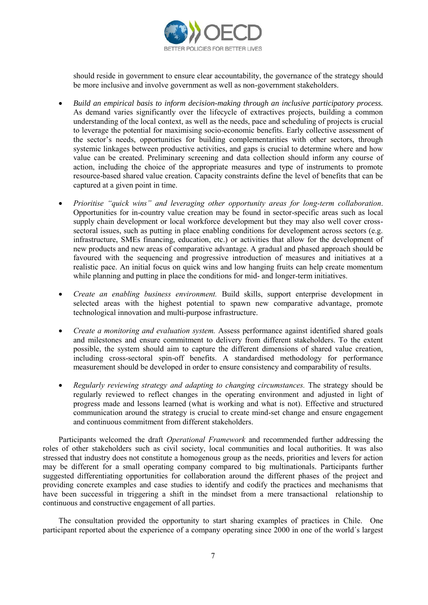

should reside in government to ensure clear accountability, the governance of the strategy should be more inclusive and involve government as well as non-government stakeholders.

- *Build an empirical basis to inform decision-making through an inclusive participatory process.* As demand varies significantly over the lifecycle of extractives projects, building a common understanding of the local context, as well as the needs, pace and scheduling of projects is crucial to leverage the potential for maximising socio-economic benefits. Early collective assessment of the sector's needs, opportunities for building complementarities with other sectors, through systemic linkages between productive activities, and gaps is crucial to determine where and how value can be created. Preliminary screening and data collection should inform any course of action, including the choice of the appropriate measures and type of instruments to promote resource-based shared value creation. Capacity constraints define the level of benefits that can be captured at a given point in time.
- *Prioritise "quick wins" and leveraging other opportunity areas for long-term collaboration*. Opportunities for in-country value creation may be found in sector-specific areas such as local supply chain development or local workforce development but they may also well cover crosssectoral issues, such as putting in place enabling conditions for development across sectors (e.g. infrastructure, SMEs financing, education, etc.) or activities that allow for the development of new products and new areas of comparative advantage. A gradual and phased approach should be favoured with the sequencing and progressive introduction of measures and initiatives at a realistic pace. An initial focus on quick wins and low hanging fruits can help create momentum while planning and putting in place the conditions for mid- and longer-term initiatives.
- *Create an enabling business environment.* Build skills, support enterprise development in selected areas with the highest potential to spawn new comparative advantage, promote technological innovation and multi-purpose infrastructure.
- *Create a monitoring and evaluation system.* Assess performance against identified shared goals and milestones and ensure commitment to delivery from different stakeholders. To the extent possible, the system should aim to capture the different dimensions of shared value creation, including cross-sectoral spin-off benefits. A standardised methodology for performance measurement should be developed in order to ensure consistency and comparability of results.
- *Regularly reviewing strategy and adapting to changing circumstances.* The strategy should be regularly reviewed to reflect changes in the operating environment and adjusted in light of progress made and lessons learned (what is working and what is not). Effective and structured communication around the strategy is crucial to create mind-set change and ensure engagement and continuous commitment from different stakeholders.

Participants welcomed the draft *Operational Framework* and recommended further addressing the roles of other stakeholders such as civil society, local communities and local authorities. It was also stressed that industry does not constitute a homogenous group as the needs, priorities and levers for action may be different for a small operating company compared to big multinationals. Participants further suggested differentiating opportunities for collaboration around the different phases of the project and providing concrete examples and case studies to identify and codify the practices and mechanisms that have been successful in triggering a shift in the mindset from a mere transactional relationship to continuous and constructive engagement of all parties.

The consultation provided the opportunity to start sharing examples of practices in Chile. One participant reported about the experience of a company operating since 2000 in one of the world´s largest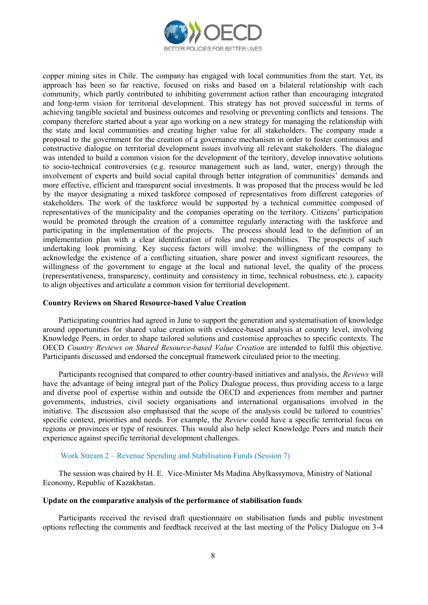

copper mining sites in Chile. The company has engaged with local communities from the start. Yet, its approach has been so far reactive, focused on risks and based on a bilateral relationship with each community, which partly contributed to inhibiting government action rather than encouraging integrated and long-term vision for territorial development. This strategy has not proved successful in terms of achieving tangible societal and business outcomes and resolving or preventing conflicts and tensions. The company therefore started about a year ago working on a new strategy for managing the relationship with the state and local communities and creating higher value for all stakeholders. The company made a proposal to the government for the creation of a governance mechanism in order to foster continuous and constructive dialogue on territorial development issues involving all relevant stakeholders. The dialogue was intended to build a common vision for the development of the territory, develop innovative solutions to socio-technical controversies (e.g. resource management such as land, water, energy) through the involvement of experts and build social capital through better integration of communities' demands and more effective, efficient and transparent social investments. It was proposed that the process would be led by the mayor designating a mixed taskforce composed of representatives from different categories of stakeholders. The work of the taskforce would be supported by a technical committee composed of representatives of the municipality and the companies operating on the territory. Citizens' participation would be promoted through the creation of a committee regularly interacting with the taskforce and participating in the implementation of the projects. The process should lead to the definition of an implementation plan with a clear identification of roles and responsibilities. The prospects of such undertaking look promising. Key success factors will involve: the willingness of the company to acknowledge the existence of a conflicting situation, share power and invest significant resources, the willingness of the government to engage at the local and national level, the quality of the process (representativeness, transparency, continuity and consistency in time, technical robustness, etc.), capacity to align objectives and articulate a common vision for territorial development.

### **Country Reviews on Shared Resource-based Value Creation**

Participating countries had agreed in June to support the generation and systematisation of knowledge around opportunities for shared value creation with evidence-based analysis at country level, involving Knowledge Peers, in order to shape tailored solutions and customise approaches to specific contexts. The OECD *Country Reviews on Shared Resource-based Value Creation* are intended to fulfil this objective. Participants discussed and endorsed the conceptual framework circulated prior to the meeting.

Participants recognised that compared to other country-based initiatives and analysis, the *Reviews* will have the advantage of being integral part of the Policy Dialogue process, thus providing access to a large and diverse pool of expertise within and outside the OECD and experiences from member and partner governments, industries, civil society organisations and international organisations involved in the initiative. The discussion also emphasised that the scope of the analysis could be tailored to countries' specific context, priorities and needs. For example, the *Review* could have a specific territorial focus on regions or provinces or type of resources. This would also help select Knowledge Peers and match their experience against specific territorial development challenges.

### Work Stream 2 – Revenue Spending and Stabilisation Funds (Session 7)

The session was chaired by H. E. Vice-Minister Ms Madina Abylkassymova, Ministry of National Economy, Republic of Kazakhstan.

## **Update on the comparative analysis of the performance of stabilisation funds**

Participants received the revised draft questionnaire on stabilisation funds and public investment options reflecting the comments and feedback received at the last meeting of the Policy Dialogue on 3-4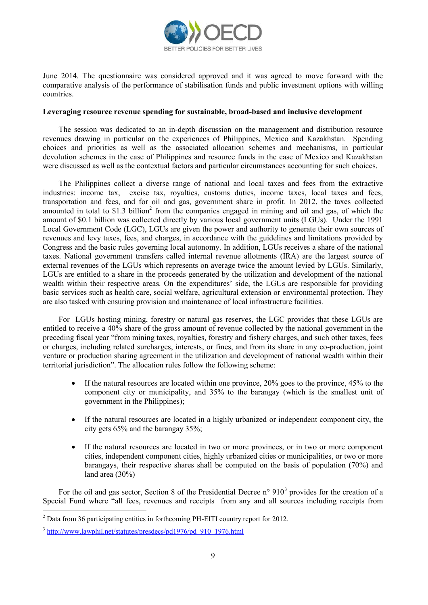

June 2014. The questionnaire was considered approved and it was agreed to move forward with the comparative analysis of the performance of stabilisation funds and public investment options with willing countries.

### **Leveraging resource revenue spending for sustainable, broad-based and inclusive development**

The session was dedicated to an in-depth discussion on the management and distribution resource revenues drawing in particular on the experiences of Philippines, Mexico and Kazakhstan. Spending choices and priorities as well as the associated allocation schemes and mechanisms, in particular devolution schemes in the case of Philippines and resource funds in the case of Mexico and Kazakhstan were discussed as well as the contextual factors and particular circumstances accounting for such choices.

The Philippines collect a diverse range of national and local taxes and fees from the extractive industries: income tax, excise tax, royalties, customs duties, income taxes, local taxes and fees, transportation and fees, and for oil and gas, government share in profit. In 2012, the taxes collected amounted in total to \$1.3 billion<sup>2</sup> from the companies engaged in mining and oil and gas, of which the amount of \$0.1 billion was collected directly by various local government units (LGUs). Under the 1991 Local Government Code (LGC), LGUs are given the power and authority to generate their own sources of revenues and levy taxes, fees, and charges, in accordance with the guidelines and limitations provided by Congress and the basic rules governing local autonomy. In addition, LGUs receives a share of the national taxes. National government transfers called internal revenue allotments (IRA) are the largest source of external revenues of the LGUs which represents on average twice the amount levied by LGUs. Similarly, LGUs are entitled to a share in the proceeds generated by the utilization and development of the national wealth within their respective areas. On the expenditures' side, the LGUs are responsible for providing basic services such as health care, social welfare, agricultural extension or environmental protection. They are also tasked with ensuring provision and maintenance of local infrastructure facilities.

For LGUs hosting mining, forestry or natural gas reserves, the LGC provides that these LGUs are entitled to receive a 40% share of the gross amount of revenue collected by the national government in the preceding fiscal year "from mining taxes, royalties, forestry and fishery charges, and such other taxes, fees or charges, including related surcharges, interests, or fines, and from its share in any co-production, joint venture or production sharing agreement in the utilization and development of national wealth within their territorial jurisdiction". The allocation rules follow the following scheme:

- $\bullet$  If the natural resources are located within one province, 20% goes to the province, 45% to the component city or municipality, and 35% to the barangay (which is the smallest unit of government in the Philippines);
- If the natural resources are located in a highly urbanized or independent component city, the city gets 65% and the barangay 35%;
- If the natural resources are located in two or more provinces, or in two or more component cities, independent component cities, highly urbanized cities or municipalities, or two or more barangays, their respective shares shall be computed on the basis of population (70%) and land area (30%)

For the oil and gas sector, Section 8 of the Presidential Decree  $n^{\circ}$  910<sup>3</sup> provides for the creation of a Special Fund where "all fees, revenues and receipts from any and all sources including receipts from

  $2^2$  Data from 36 participating entities in forthcoming PH-EITI country report for 2012.

<sup>&</sup>lt;sup>3</sup> [http://www.lawphil.net/statutes/presdecs/pd1976/pd\\_910\\_1976.html](http://www.lawphil.net/statutes/presdecs/pd1976/pd_910_1976.html)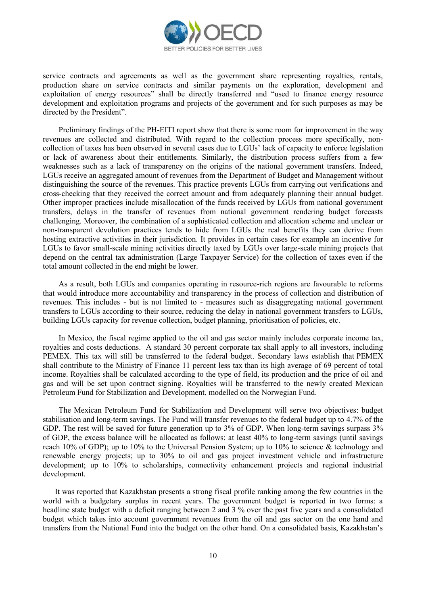

service contracts and agreements as well as the government share representing royalties, rentals, production share on service contracts and similar payments on the exploration, development and exploitation of energy resources" shall be directly transferred and "used to finance energy resource development and exploitation programs and projects of the government and for such purposes as may be directed by the President".

Preliminary findings of the PH-EITI report show that there is some room for improvement in the way revenues are collected and distributed. With regard to the collection process more specifically, noncollection of taxes has been observed in several cases due to LGUs' lack of capacity to enforce legislation or lack of awareness about their entitlements. Similarly, the distribution process suffers from a few weaknesses such as a lack of transparency on the origins of the national government transfers. Indeed, LGUs receive an aggregated amount of revenues from the Department of Budget and Management without distinguishing the source of the revenues. This practice prevents LGUs from carrying out verifications and cross-checking that they received the correct amount and from adequately planning their annual budget. Other improper practices include misallocation of the funds received by LGUs from national government transfers, delays in the transfer of revenues from national government rendering budget forecasts challenging. Moreover, the combination of a sophisticated collection and allocation scheme and unclear or non-transparent devolution practices tends to hide from LGUs the real benefits they can derive from hosting extractive activities in their jurisdiction. It provides in certain cases for example an incentive for LGUs to favor small-scale mining activities directly taxed by LGUs over large-scale mining projects that depend on the central tax administration (Large Taxpayer Service) for the collection of taxes even if the total amount collected in the end might be lower.

As a result, both LGUs and companies operating in resource-rich regions are favourable to reforms that would introduce more accountability and transparency in the process of collection and distribution of revenues. This includes - but is not limited to - measures such as disaggregating national government transfers to LGUs according to their source, reducing the delay in national government transfers to LGUs, building LGUs capacity for revenue collection, budget planning, prioritisation of policies, etc.

In Mexico, the fiscal regime applied to the oil and gas sector mainly includes corporate income tax, royalties and costs deductions. A standard 30 percent corporate tax shall apply to all investors, including PEMEX. This tax will still be transferred to the federal budget. Secondary laws establish that [PEMEX](http://www.dineroenimagen.com/2014-08-06/41478)  shall [contribute to the Ministry of Finance 11 percent less tax](http://www.dineroenimagen.com/2014-08-06/41478) than its high average of 69 percent of total income. Royalties shall be calculated according to the type of field, its production and the price of oil and gas and will be set upon contract signing. Royalties will be transferred to the newly created Mexican Petroleum Fund for Stabilization and Development, modelled on the Norwegian Fund.

The Mexican Petroleum Fund for Stabilization and Development will serve two objectives: budget stabilisation and long-term savings. The Fund will transfer revenues to the federal budget up to 4.7% of the GDP. The rest will be saved for future generation up to 3% of GDP. When long-term savings surpass 3% of GDP, the excess balance will be allocated as follows: at least 40% to long-term savings (until savings reach 10% of GDP); up to 10% to the Universal Pension System; up to 10% to science & technology and renewable energy projects; up to 30% to oil and gas project investment vehicle and infrastructure development; up to 10% to scholarships, connectivity enhancement projects and regional industrial development.

It was reported that Kazakhstan presents a strong fiscal profile ranking among the few countries in the world with a budgetary surplus in recent years. The government budget is reported in two forms: a headline state budget with a deficit ranging between 2 and 3 % over the past five years and a consolidated budget which takes into account government revenues from the oil and gas sector on the one hand and transfers from the National Fund into the budget on the other hand. On a consolidated basis, Kazakhstan's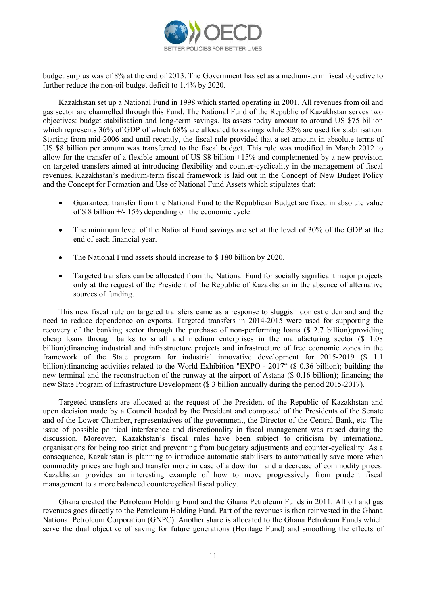

budget surplus was of 8% at the end of 2013. The Government has set as a medium-term fiscal objective to further reduce the non-oil budget deficit to 1.4% by 2020.

Kazakhstan set up a National Fund in 1998 which started operating in 2001. All revenues from oil and gas sector are channelled through this Fund. The National Fund of the Republic of Kazakhstan serves two objectives: budget stabilisation and long-term savings. Its assets today amount to around US \$75 billion which represents 36% of GDP of which 68% are allocated to savings while 32% are used for stabilisation. Starting from mid-2006 and until recently, the fiscal rule provided that a set amount in absolute terms of US \$8 billion per annum was transferred to the fiscal budget. This rule was modified in March 2012 to allow for the transfer of a flexible amount of US \$8 billion  $\pm 15\%$  and complemented by a new provision on targeted transfers aimed at introducing flexibility and counter-cyclicality in the management of fiscal revenues. Kazakhstan's medium-term fiscal framework is laid out in the Concept of New Budget Policy and the Concept for Formation and Use of National Fund Assets which stipulates that:

- Guaranteed transfer from the National Fund to the Republican Budget are fixed in absolute value of \$ 8 billion +/- 15% depending on the economic cycle.
- The minimum level of the National Fund savings are set at the level of 30% of the GDP at the end of each financial year.
- The National Fund assets should increase to \$ 180 billion by 2020.
- Targeted transfers can be allocated from the National Fund for socially significant major projects only at the request of the President of the Republic of Kazakhstan in the absence of alternative sources of funding.

This new fiscal rule on targeted transfers came as a response to sluggish domestic demand and the need to reduce dependence on exports. Targeted transfers in 2014-2015 were used for supporting the recovery of the banking sector through the purchase of non-performing loans (\$ 2.7 billion);providing cheap loans through banks to small and medium enterprises in the manufacturing sector (\$ 1.08 billion);financing industrial and infrastructure projects and infrastructure of free economic zones in the framework of the State program for industrial innovative development for 2015-2019 (\$ 1.1 billion);financing activities related to the World Exhibition "EXPO - 2017" (\$ 0.36 billion); building the new terminal and the reconstruction of the runway at the airport of Astana (\$ 0.16 billion); financing the new State Program of Infrastructure Development (\$ 3 billion annually during the period 2015-2017).

Targeted transfers are allocated at the request of the President of the Republic of Kazakhstan and upon decision made by a Council headed by the President and composed of the Presidents of the Senate and of the Lower Chamber, representatives of the government, the Director of the Central Bank, etc. The issue of possible political interference and discretionality in fiscal management was raised during the discussion. Moreover, Kazakhstan's fiscal rules have been subject to criticism by international organisations for being too strict and preventing from budgetary adjustments and counter-cyclicality. As a consequence, Kazakhstan is planning to introduce automatic stabilisers to automatically save more when commodity prices are high and transfer more in case of a downturn and a decrease of commodity prices. Kazakhstan provides an interesting example of how to move progressively from prudent fiscal management to a more balanced countercyclical fiscal policy.

Ghana created the Petroleum Holding Fund and the Ghana Petroleum Funds in 2011. All oil and gas revenues goes directly to the Petroleum Holding Fund. Part of the revenues is then reinvested in the Ghana National Petroleum Corporation (GNPC). Another share is allocated to the Ghana Petroleum Funds which serve the dual objective of saving for future generations (Heritage Fund) and smoothing the effects of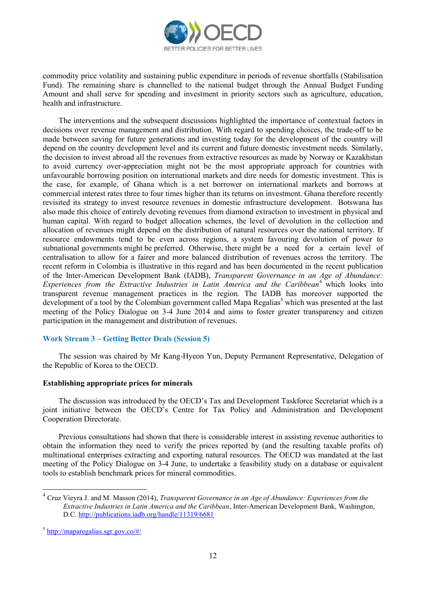

commodity price volatility and sustaining public expenditure in periods of revenue shortfalls (Stabilisation Fund). The remaining share is channelled to the national budget through the Annual Budget Funding Amount and shall serve for spending and investment in priority sectors such as agriculture, education, health and infrastructure.

The interventions and the subsequent discussions highlighted the importance of contextual factors in decisions over revenue management and distribution. With regard to spending choices, the trade-off to be made between saving for future generations and investing today for the development of the country will depend on the country development level and its current and future domestic investment needs. Similarly, the decision to invest abroad all the revenues from extractive resources as made by Norway or Kazakhstan to avoid currency over-appreciation might not be the most appropriate approach for countries with unfavourable borrowing position on international markets and dire needs for domestic investment. This is the case, for example, of Ghana which is a net borrower on international markets and borrows at commercial interest rates three to four times higher than its returns on investment. Ghana therefore recently revisited its strategy to invest resource revenues in domestic infrastructure development. Botswana has also made this choice of entirely devoting revenues from diamond extraction to investment in physical and human capital. With regard to budget allocation schemes, the level of devolution in the collection and allocation of revenues might depend on the distribution of natural resources over the national territory. If resource endowments tend to be even across regions, a system favouring devolution of power to subnational governments might be preferred. Otherwise, there might be a need for a certain level of centralisation to allow for a fairer and more balanced distribution of revenues across the territory. The recent reform in Colombia is illustrative in this regard and has been documented in the recent publication of the Inter-American Development Bank (IADB), *Transparent Governance in an Age of Abundance: Experiences from the Extractive Industries in Latin America and the Caribbean*<sup>4</sup> which looks into transparent revenue management practices in the region. The IADB has moreover supported the development of a tool by the Colombian government called Mapa Regalias<sup>5</sup> which was presented at the last meeting of the Policy Dialogue on 3-4 June 2014 and aims to foster greater transparency and citizen participation in the management and distribution of revenues.

# **Work Stream 3 – Getting Better Deals (Session 5)**

The session was chaired by Mr Kang-Hyeon Yun, Deputy Permanent Representative, Delegation of the Republic of Korea to the OECD.

### **Establishing appropriate prices for minerals**

The discussion was introduced by the OECD's Tax and Development Taskforce Secretariat which is a joint initiative between the OECD's Centre for Tax Policy and Administration and Development Cooperation Directorate.

Previous consultations had shown that there is considerable interest in assisting revenue authorities to obtain the information they need to verify the prices reported by (and the resulting taxable profits of) multinational enterprises extracting and exporting natural resources. The OECD was mandated at the last meeting of the Policy Dialogue on 3-4 June, to undertake a feasibility study on a database or equivalent tools to establish benchmark prices for mineral commodities.

<sup>4</sup> Cruz Vieyra J. and M. Masson (2014), *Transparent Governance in an Age of Abundance: Experiences from the Extractive Industries in Latin America and the Caribbean*, Inter-American Development Bank, Washington, D.C.<http://publications.iadb.org/handle/11319/6681>

<sup>5</sup> <http://maparegalias.sgr.gov.co/#/>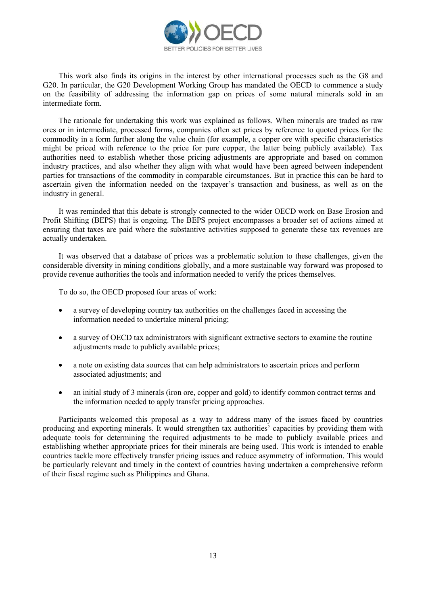

This work also finds its origins in the interest by other international processes such as the G8 and G20. In particular, the G20 Development Working Group has mandated the OECD to commence a study on the feasibility of addressing the information gap on prices of some natural minerals sold in an intermediate form.

The rationale for undertaking this work was explained as follows. When minerals are traded as raw ores or in intermediate, processed forms, companies often set prices by reference to quoted prices for the commodity in a form further along the value chain (for example, a copper ore with specific characteristics might be priced with reference to the price for pure copper, the latter being publicly available). Tax authorities need to establish whether those pricing adjustments are appropriate and based on common industry practices, and also whether they align with what would have been agreed between independent parties for transactions of the commodity in comparable circumstances. But in practice this can be hard to ascertain given the information needed on the taxpayer's transaction and business, as well as on the industry in general.

It was reminded that this debate is strongly connected to the wider OECD work on Base Erosion and Profit Shifting (BEPS) that is ongoing. The BEPS project encompasses a broader set of actions aimed at ensuring that taxes are paid where the substantive activities supposed to generate these tax revenues are actually undertaken.

It was observed that a database of prices was a problematic solution to these challenges, given the considerable diversity in mining conditions globally, and a more sustainable way forward was proposed to provide revenue authorities the tools and information needed to verify the prices themselves.

To do so, the OECD proposed four areas of work:

- a survey of developing country tax authorities on the challenges faced in accessing the information needed to undertake mineral pricing;
- a survey of OECD tax administrators with significant extractive sectors to examine the routine adjustments made to publicly available prices;
- a note on existing data sources that can help administrators to ascertain prices and perform associated adjustments; and
- an initial study of 3 minerals (iron ore, copper and gold) to identify common contract terms and the information needed to apply transfer pricing approaches.

Participants welcomed this proposal as a way to address many of the issues faced by countries producing and exporting minerals. It would strengthen tax authorities' capacities by providing them with adequate tools for determining the required adjustments to be made to publicly available prices and establishing whether appropriate prices for their minerals are being used. This work is intended to enable countries tackle more effectively transfer pricing issues and reduce asymmetry of information. This would be particularly relevant and timely in the context of countries having undertaken a comprehensive reform of their fiscal regime such as Philippines and Ghana.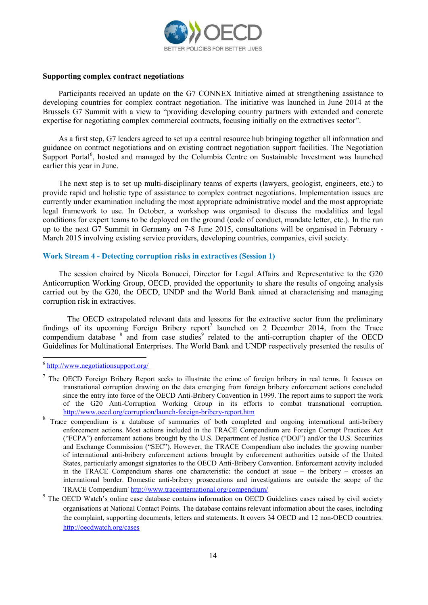

### **Supporting complex contract negotiations**

Participants received an update on the G7 CONNEX Initiative aimed at strengthening assistance to developing countries for complex contract negotiation. The initiative was launched in June 2014 at the Brussels G7 Summit with a view to "providing developing country partners with extended and concrete expertise for negotiating complex commercial contracts, focusing initially on the extractives sector".

As a first step, G7 leaders agreed to set up a central resource hub bringing together all information and guidance on contract negotiations and on existing contract negotiation support facilities. The Negotiation Support Portal<sup>6</sup>, hosted and managed by the Columbia Centre on Sustainable Investment was launched earlier this year in June.

The next step is to set up multi-disciplinary teams of experts (lawyers, geologist, engineers, etc.) to provide rapid and holistic type of assistance to complex contract negotiations. Implementation issues are currently under examination including the most appropriate administrative model and the most appropriate legal framework to use. In October, a workshop was organised to discuss the modalities and legal conditions for expert teams to be deployed on the ground (code of conduct, mandate letter, etc.). In the run up to the next G7 Summit in Germany on 7-8 June 2015, consultations will be organised in February - March 2015 involving existing service providers, developing countries, companies, civil society.

## **Work Stream 4 - Detecting corruption risks in extractives (Session 1)**

The session chaired by Nicola Bonucci, Director for Legal Affairs and Representative to the G20 Anticorruption Working Group, OECD, provided the opportunity to share the results of ongoing analysis carried out by the G20, the OECD, UNDP and the World Bank aimed at characterising and managing corruption risk in extractives.

The OECD extrapolated relevant data and lessons for the extractive sector from the preliminary findings of its upcoming Foreign Bribery report<sup>7</sup> launched on 2 December 2014, from the Trace compendium database <sup>8</sup> and from case studies<sup>9</sup> related to the anti-corruption chapter of the OECD Guidelines for Multinational Enterprises. The World Bank and UNDP respectively presented the results of

<sup>&</sup>lt;sup>6</sup> <http://www.negotiationsupport.org/>

<sup>&</sup>lt;sup>7</sup> The OECD Foreign Bribery Report seeks to illustrate the crime of foreign bribery in real terms. It focuses on transnational corruption drawing on the data emerging from foreign bribery enforcement actions concluded since the entry into force of the OECD Anti-Bribery Convention in 1999. The report aims to support the work of the G20 Anti-Corruption Working Group in its efforts to combat transnational corruption. <http://www.oecd.org/corruption/launch-foreign-bribery-report.htm>

<sup>8</sup> Trace compendium is a database of summaries of both completed and ongoing international anti-bribery enforcement actions. Most actions included in the TRACE Compendium are Foreign Corrupt Practices Act ("FCPA") enforcement actions brought by the U.S. Department of Justice ("DOJ") and/or the U.S. Securities and Exchange Commission ("SEC"). However, the TRACE Compendium also includes the growing number of international anti-bribery enforcement actions brought by enforcement authorities outside of the United States, particularly amongst signatories to the OECD Anti-Bribery Convention. Enforcement activity included in the TRACE Compendium shares one characteristic: the conduct at issue – the bribery – crosses an international border. Domestic anti-bribery prosecutions and investigations are outside the scope of the TRACE Compendium. <http://www.traceinternational.org/compendium/>

<sup>&</sup>lt;sup>9</sup> The OECD Watch's online case database contains information on OECD Guidelines cases raised by civil society organisations at National Contact Points. The database contains relevant information about the cases, including the complaint, supporting documents, letters and statements. It covers 34 OECD and 12 non-OECD countries. <http://oecdwatch.org/cases>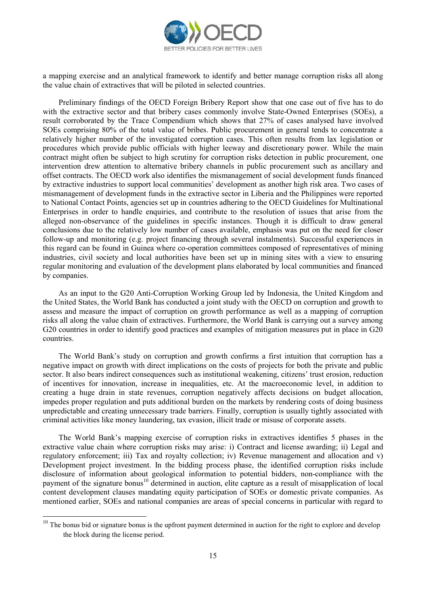

a mapping exercise and an analytical framework to identify and better manage corruption risks all along the value chain of extractives that will be piloted in selected countries.

Preliminary findings of the OECD Foreign Bribery Report show that one case out of five has to do with the extractive sector and that bribery cases commonly involve State-Owned Enterprises (SOEs), a result corroborated by the Trace Compendium which shows that 27% of cases analysed have involved SOEs comprising 80% of the total value of bribes. Public procurement in general tends to concentrate a relatively higher number of the investigated corruption cases. This often results from lax legislation or procedures which provide public officials with higher leeway and discretionary power. While the main contract might often be subject to high scrutiny for corruption risks detection in public procurement, one intervention drew attention to alternative bribery channels in public procurement such as ancillary and offset contracts. The OECD work also identifies the mismanagement of social development funds financed by extractive industries to support local communities' development as another high risk area. Two cases of mismanagement of development funds in the extractive sector in Liberia and the Philippines were reported to National Contact Points, agencies set up in countries adhering to the OECD Guidelines for Multinational Enterprises in order to handle enquiries, and contribute to the resolution of issues that arise from the alleged non-observance of the guidelines in specific instances. Though it is difficult to draw general conclusions due to the relatively low number of cases available, emphasis was put on the need for closer follow-up and monitoring (e.g. project financing through several instalments). Successful experiences in this regard can be found in Guinea where co-operation committees composed of representatives of mining industries, civil society and local authorities have been set up in mining sites with a view to ensuring regular monitoring and evaluation of the development plans elaborated by local communities and financed by companies.

As an input to the G20 Anti-Corruption Working Group led by Indonesia, the United Kingdom and the United States, the World Bank has conducted a joint study with the OECD on corruption and growth to assess and measure the impact of corruption on growth performance as well as a mapping of corruption risks all along the value chain of extractives. Furthermore, the World Bank is carrying out a survey among G20 countries in order to identify good practices and examples of mitigation measures put in place in G20 countries.

The World Bank's study on corruption and growth confirms a first intuition that corruption has a negative impact on growth with direct implications on the costs of projects for both the private and public sector. It also bears indirect consequences such as institutional weakening, citizens' trust erosion, reduction of incentives for innovation, increase in inequalities, etc. At the macroeconomic level, in addition to creating a huge drain in state revenues, corruption negatively affects decisions on budget allocation, impedes proper regulation and puts additional burden on the markets by rendering costs of doing business unpredictable and creating unnecessary trade barriers. Finally, corruption is usually tightly associated with criminal activities like money laundering, tax evasion, illicit trade or misuse of corporate assets.

The World Bank's mapping exercise of corruption risks in extractives identifies 5 phases in the extractive value chain where corruption risks may arise: i) Contract and license awarding; ii) Legal and regulatory enforcement; iii) Tax and royalty collection; iv) Revenue management and allocation and v) Development project investment. In the bidding process phase, the identified corruption risks include disclosure of information about geological information to potential bidders, non-compliance with the payment of the signature bonus<sup>10</sup> determined in auction, elite capture as a result of misapplication of local content development clauses mandating equity participation of SOEs or domestic private companies. As mentioned earlier, SOEs and national companies are areas of special concerns in particular with regard to

 $10$  The bonus bid or signature bonus is the upfront payment determined in auction for the right to explore and develop the block during the license period.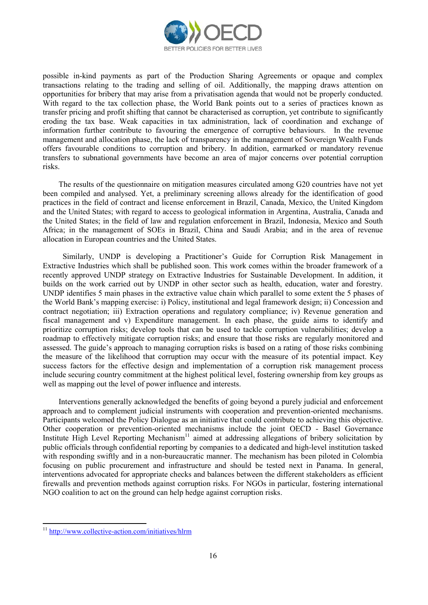

possible in-kind payments as part of the Production Sharing Agreements or opaque and complex transactions relating to the trading and selling of oil. Additionally, the mapping draws attention on opportunities for bribery that may arise from a privatisation agenda that would not be properly conducted. With regard to the tax collection phase, the World Bank points out to a series of practices known as transfer pricing and profit shifting that cannot be characterised as corruption, yet contribute to significantly eroding the tax base. Weak capacities in tax administration, lack of coordination and exchange of information further contribute to favouring the emergence of corruptive behaviours. In the revenue management and allocation phase, the lack of transparency in the management of Sovereign Wealth Funds offers favourable conditions to corruption and bribery. In addition, earmarked or mandatory revenue transfers to subnational governments have become an area of major concerns over potential corruption risks.

The results of the questionnaire on mitigation measures circulated among G20 countries have not yet been compiled and analysed. Yet, a preliminary screening allows already for the identification of good practices in the field of contract and license enforcement in Brazil, Canada, Mexico, the United Kingdom and the United States; with regard to access to geological information in Argentina, Australia, Canada and the United States; in the field of law and regulation enforcement in Brazil, Indonesia, Mexico and South Africa; in the management of SOEs in Brazil, China and Saudi Arabia; and in the area of revenue allocation in European countries and the United States.

 Similarly, UNDP is developing a Practitioner's Guide for Corruption Risk Management in Extractive Industries which shall be published soon. This work comes within the broader framework of a recently approved UNDP strategy on Extractive Industries for Sustainable Development. In addition, it builds on the work carried out by UNDP in other sector such as health, education, water and forestry. UNDP identifies 5 main phases in the extractive value chain which parallel to some extent the 5 phases of the World Bank's mapping exercise: i) Policy, institutional and legal framework design; ii) Concession and contract negotiation; iii) Extraction operations and regulatory compliance; iv) Revenue generation and fiscal management and v) Expenditure management. In each phase, the guide aims to identify and prioritize corruption risks; develop tools that can be used to tackle corruption vulnerabilities; develop a roadmap to effectively mitigate corruption risks; and ensure that those risks are regularly monitored and assessed. The guide's approach to managing corruption risks is based on a rating of those risks combining the measure of the likelihood that corruption may occur with the measure of its potential impact. Key success factors for the effective design and implementation of a corruption risk management process include securing country commitment at the highest political level, fostering ownership from key groups as well as mapping out the level of power influence and interests.

Interventions generally acknowledged the benefits of going beyond a purely judicial and enforcement approach and to complement judicial instruments with cooperation and prevention-oriented mechanisms. Participants welcomed the Policy Dialogue as an initiative that could contribute to achieving this objective. Other cooperation or prevention-oriented mechanisms include the joint OECD - Basel Governance Institute High Level Reporting Mechanism<sup>11</sup> aimed at addressing allegations of bribery solicitation by public officials through confidential reporting by companies to a dedicated and high-level institution tasked with responding swiftly and in a non-bureaucratic manner. The mechanism has been piloted in Colombia focusing on public procurement and infrastructure and should be tested next in Panama. In general, interventions advocated for appropriate checks and balances between the different stakeholders as efficient firewalls and prevention methods against corruption risks. For NGOs in particular, fostering international NGO coalition to act on the ground can help hedge against corruption risks.

<sup>&</sup>lt;sup>11</sup> http://www<u>.collective-action.com/initiatives/hlrm</u>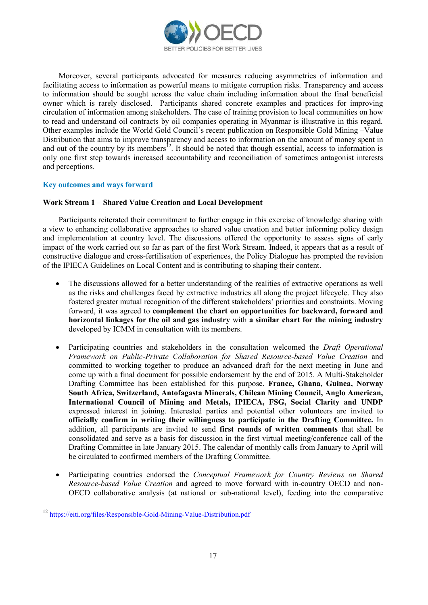

Moreover, several participants advocated for measures reducing asymmetries of information and facilitating access to information as powerful means to mitigate corruption risks. Transparency and access to information should be sought across the value chain including information about the final beneficial owner which is rarely disclosed. Participants shared concrete examples and practices for improving circulation of information among stakeholders. The case of training provision to local communities on how to read and understand oil contracts by oil companies operating in Myanmar is illustrative in this regard. Other examples include the World Gold Council's recent publication on Responsible Gold Mining –Value Distribution that aims to improve transparency and access to information on the amount of money spent in and out of the country by its members<sup>12</sup>. It should be noted that though essential, access to information is only one first step towards increased accountability and reconciliation of sometimes antagonist interests and perceptions.

# **Key outcomes and ways forward**

## **Work Stream 1 – Shared Value Creation and Local Development**

Participants reiterated their commitment to further engage in this exercise of knowledge sharing with a view to enhancing collaborative approaches to shared value creation and better informing policy design and implementation at country level. The discussions offered the opportunity to assess signs of early impact of the work carried out so far as part of the first Work Stream. Indeed, it appears that as a result of constructive dialogue and cross-fertilisation of experiences, the Policy Dialogue has prompted the revision of the IPIECA Guidelines on Local Content and is contributing to shaping their content.

- The discussions allowed for a better understanding of the realities of extractive operations as well as the risks and challenges faced by extractive industries all along the project lifecycle. They also fostered greater mutual recognition of the different stakeholders' priorities and constraints. Moving forward, it was agreed to **complement the chart on opportunities for backward, forward and horizontal linkages for the oil and gas industry** with **a similar chart for the mining industry** developed by ICMM in consultation with its members.
- Participating countries and stakeholders in the consultation welcomed the *Draft Operational Framework on Public-Private Collaboration for Shared Resource-based Value Creation* and committed to working together to produce an advanced draft for the next meeting in June and come up with a final document for possible endorsement by the end of 2015. A Multi-Stakeholder Drafting Committee has been established for this purpose. **France, Ghana, Guinea, Norway South Africa, Switzerland, Antofagasta Minerals, Chilean Mining Council, Anglo American, International Council of Mining and Metals, IPIECA, FSG, Social Clarity and UNDP** expressed interest in joining. Interested parties and potential other volunteers are invited to **officially confirm in writing their willingness to participate in the Drafting Committee.** In addition, all participants are invited to send **first rounds of written comments** that shall be consolidated and serve as a basis for discussion in the first virtual meeting/conference call of the Drafting Committee in late January 2015. The calendar of monthly calls from January to April will be circulated to confirmed members of the Drafting Committee.
- Participating countries endorsed the *Conceptual Framework for Country Reviews on Shared Resource-based Value Creation* and agreed to move forward with in-country OECD and non-OECD collaborative analysis (at national or sub-national level), feeding into the comparative

<sup>12</sup> <https://eiti.org/files/Responsible-Gold-Mining-Value-Distribution.pdf>